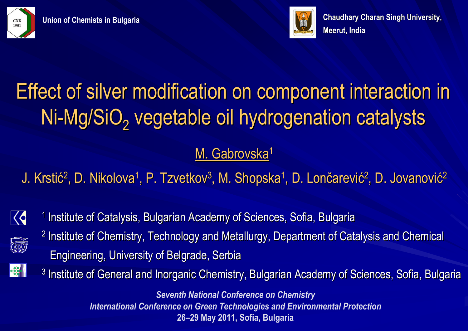



# Effect of silver modification on component interaction in Ni-Mg/SiO $_{\textrm{\tiny{2}}}$  vegetable oil hydrogenation catalysts

### M. Gabrovska<sup>1</sup>

J. Krstić<sup>2</sup>, D. Nikolova<sup>1</sup>, P. Tzvetkov<sup>3</sup>, M. Shopska<sup>1</sup>, D. Lončarević<sup>2</sup>, D. Jovanović<sup>2</sup>



- <sup>1</sup> Institute of Catalysis, Bulgarian Academy of Sciences, Sofia, Bulgaria
- $^2$  Institute of Chemistry, Technology and Metallurgy, Department of Catalysis and Chemical Engineering, University of Belgrade, Serbia Engineering, University of Belgrade, Serbia



6

 $3$  Institute of General and Inorganic Chemistry, Bulgarian Academy of Sciences, Sofia, Bulgaria

*Seventh National Conference on Chemistry International Conference on Green Technologies and Environmental Protection* **26–29 May 2011, Sofia, Bulgaria**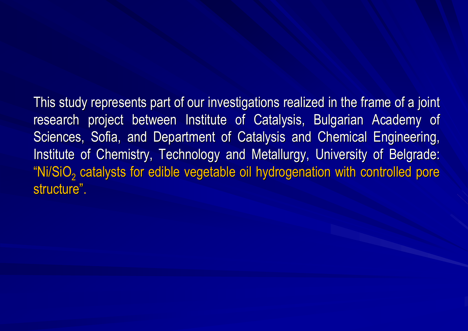This study represents part of our investigations realized in the frame of a joint research project between Institute of Catalysis, Bulgarian Academy of Sciences, Sofia, and Department of Catalysis and Chemical Engineering, Institute of Chemistry, Technology and Metallurgy, University of Belgrade: "Ni/SiO<sub>2</sub> catalysts for edible vegetable oil hydrogenation with controlled pore structure".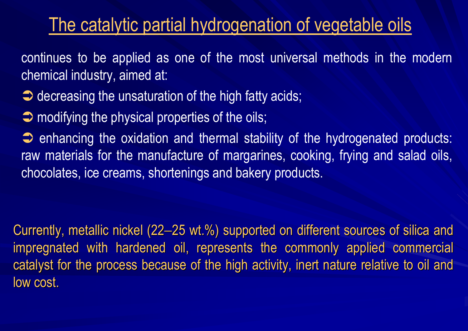# The catalytic partial hydrogenation of vegetable oils

continues to be applied as one of the most universal methods in the modern chemical industry, aimed at:

- $\Rightarrow$  decreasing the unsaturation of the high fatty acids;
- $\Rightarrow$  modifying the physical properties of the oils;

 $\Rightarrow$  enhancing the oxidation and thermal stability of the hydrogenated products: raw materials for the manufacture of margarines, cooking, frying and salad oils, chocolates, ice creams, shortenings and bakery products.

Currently, metallic nickel (22–25 wt.%) supported on different sources of silica and impregnated with hardened oil, represents the commonly applied commercial catalyst for the process because of the high activity, inert nature relative to oil and low cost.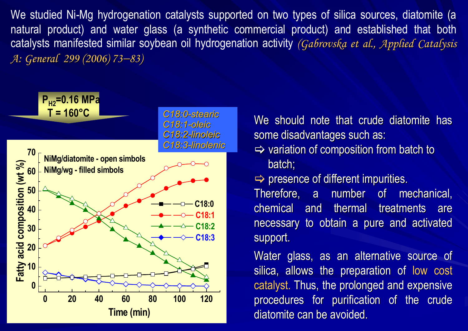We studied Ni-Mg hydrogenation catalysts supported on two types of silica sources, diatomite (a natural product) and water glass (a synthetic commercial product) and established that both catalysts manifested similar soybean oil hydrogenation activity *(Gabrovska et al., Applied Catalysis A: General 299 (2006) 73 A: General 299 (2006) 73* <sup>−</sup>*83)*



We should note that crude diatomite has some disadvantages such as:

- $\Rightarrow$  variation of composition from batch to batch;
- $\Rightarrow$  presence of different impurities.

Therefore, a number of mechanical, chemical and thermal treatments are necessary to obtain a pure and activated support.

Water glass, as an alternative source of silica, allows the preparation of low cost catalyst. Thus, the prolonged and expensive procedures for purification of the crude diatomite can be avoided.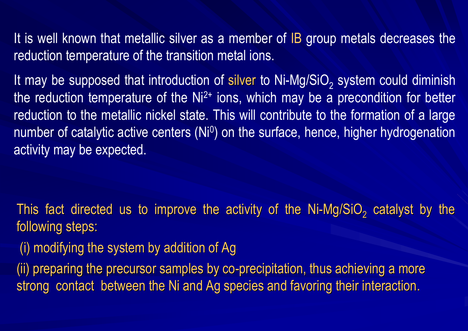It is well known that metallic silver as a member of IB group metals decreases the reduction temperature of the transition metal ions.

It may be supposed that introduction of silver to Ni-Mg/SiO<sub>2</sub> system could diminish\_ the reduction temperature of the  $Ni<sup>2+</sup>$  ions, which may be a precondition for better reduction to the metallic nickel state. This will contribute to the formation of a large number of catalytic active centers (Ni<sup>0</sup>) on the surface, hence, higher hydrogenation activity may be expected.

This fact directed us to improve the activity of the Ni-Mg/SiO<sub>2</sub> catalyst by the following steps:

(i) modifying the system by addition of Ag (i) modifying the system by addition of Ag

(ii) preparing the precursor samples by co-precipitation, thus achieving a more strong contact between the Ni and Ag species and favoring their interaction.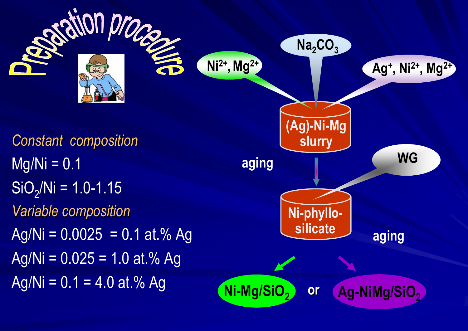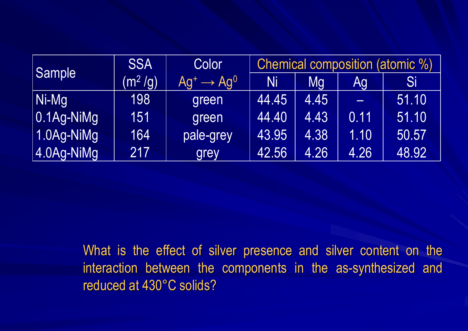| Sample         | <b>ISSA</b>         | Color                   | <b>Chemical composition (atomic %)</b> |      |          |       |
|----------------|---------------------|-------------------------|----------------------------------------|------|----------|-------|
|                | (m <sup>2</sup> /g) | $Ag^* \rightarrow Ag^0$ | Ni                                     | Mg   | Ag       | Si    |
| Ni-Mg          | 198                 | green                   | 44.45                                  | 4.45 | $\equiv$ | 51.10 |
| $ 0.1$ Ag-NiMg | 151                 | green                   | 44.40                                  | 4.43 | 0.11     | 51.10 |
| $ 1.0$ Ag-NiMg | 164                 | pale-grey               | 43.95                                  | 4.38 | 1.10     | 50.57 |
| $ 4.0$ Ag-NiMg | 217                 | grey                    | 42.56                                  | 4.26 | 4.26     | 48.92 |

What is the effect of silver presence and silver content on the interaction between the components in the as-synthesized and reduced at 430°C solids?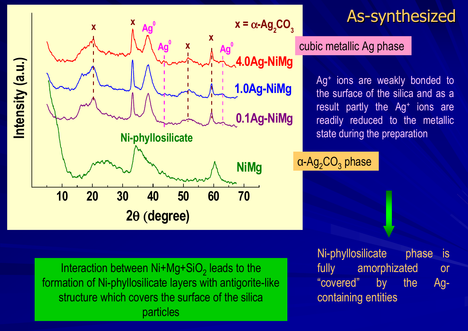

### As-synthesized

cubic metallic Ag phase

α-Ag $_2$ CO $_3$  phase

Ag+ ions are weakly bonded to the surface of the silica and as a result partly the Ag<sup>+</sup> ions are readily reduced to the metallic state during the preparation

Interaction between Ni+Mg+SiO $_{\rm 2}$  leads to the  $\,$ formation of Ni-phyllosilicate layers with antigorite-like structure which covers the surface of the silica particles

Ni-phyllosilicate phase is fully amorphizated or "covered" by the Agcontaining entities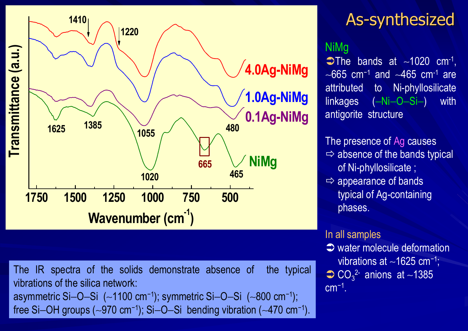

The IR spectra of the solids demonstrate absence of the typical vibrations of the silica network: asymmetric Si —O—Si (~1100 cm<sup>-1</sup>); symmetric Si − O <sup>−</sup>Si ( ∼800 cm <sup>−</sup>1); free Si–OH groups (~970 cm<sup>-1</sup>); Si − O <sup>−</sup>Si bending vibration ( ∼470 cm <sup>−</sup>1).

### As-synthesized

#### NiMg

 $\blacktriangleright$ The bands at ~1020 cm<sup>-1</sup>,  $\sim$ 665 cm $^{-1}$  and  $\sim$ 465 cm $^{-1}$  are attributed to Ni-phyllosilicate linkages (–Ni–O–Si–) with antigorite structure

The presence of Ag causes

- $\Rightarrow$  absence of the bands typical of Ni-phyllosilicate ;
- $\Rightarrow$  appearance of bands typical of Ag-containing phases.

#### In all samples

- $\Rightarrow$  water molecule deformation
	- vibrations at  $\sim$ 1625 cm<sup>-1</sup>;
- $\bigcirc$  CO<sub>3</sub> 2- anions at <sup>∼</sup>1385  $\rm cm^{-1}.$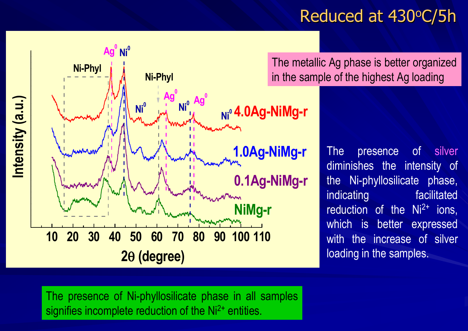## Reduced at 430°C/5h



The metallic Ag phase is better organized in the sample of the highest Ag loading

> The presence of silver diminishes the intensity of the Ni-phyllosilicate phase, indicating facilitated reduction of the  $Ni<sup>2+</sup>$  ions, which is better expressed with the increase of silver loading in the samples.

The presence of Ni-phyllosilicate phase in all samples signifies incomplete reduction of the Ni<sup>2+</sup> entities.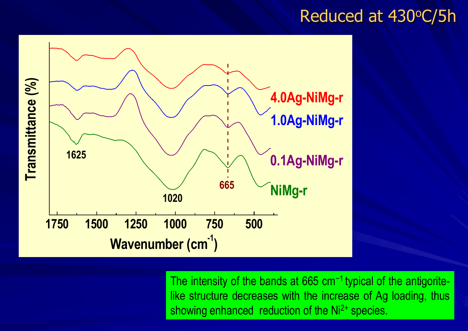### Reduced at 430°C/5h



The intensity of the bands at 665 cm<sup>-1</sup> typical of the antigoritelike structure decreases with the increase of Ag loading, thus showing enhanced reduction of the Ni<sup>2+</sup> species.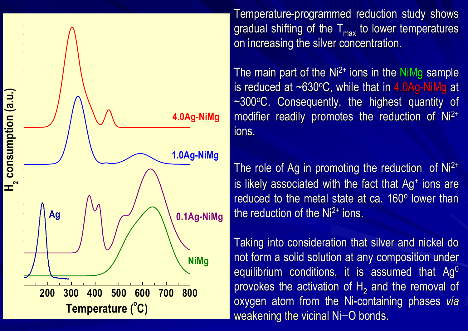

Temperature-programmed reduction study shows gradual shifting of the  $\mathsf{T}_{\mathsf{max}}$  to lower temperatures  $\overline{\phantom{a}}$ on increasing the silver concentration.

The main part of the  $Ni<sup>2+</sup>$  ions in the NiMg sample is reduced at ~630°C, while that in 4.0Ag-NiMg at ~300°C. Consequently, the highest quantity of modifier readily promotes the reduction of  $Ni<sup>2+</sup>$ ions.

The role of Ag in promoting the reduction of  $Ni<sup>2+</sup>$ is likely associated with the fact that Ag $^{\ast}$  ions are i reduced to the metal state at ca. 160  $^{\circ}$  lower than the reduction of the  $Ni<sup>2+</sup>$  ions.

Taking into consideration that silver and nickel do not form a solid solution at any composition under equilibrium conditions, it is assumed that Ag $^0$ provokes the activation of  ${\sf H_2}$  and the removal of oxygen atom from the Ni-containing phases *via* weakening the vicinal Ni $-$ O bonds.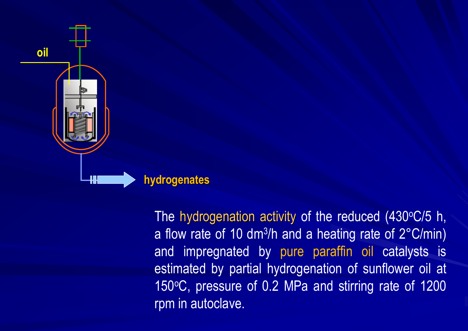

The hydrogenation activity of the reduced  $(430°C/5 h,$ a flow rate of 10 dm3/h and a heating rate of 2°C/min) and impregnated by pure paraffin oil catalysts is estimated by partial hydrogenation of sunflower oil at 150°C, pressure of 0.2 MPa and stirring rate of 1200 rpm in autoclave.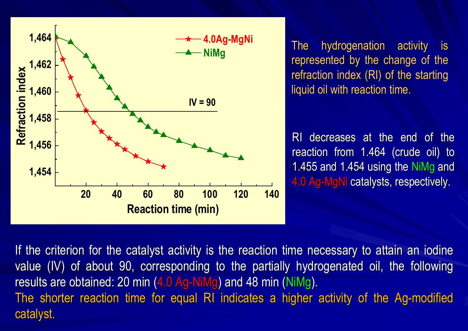

Thehydrogenation activity is represented by the change of the refraction index (RI) of the starting liquid oil with reaction time.

RI decreases at the end of the reaction from 1.464 (crude oil) to 1.455 and 1.454 using the NiMg and 4.0 Ag-MgNi catalysts, respectively.

If the criterion for the catalyst activity is the reaction time necessary to attain an iodine value (IV) of about 90, corresponding to the partially hydrogenated oil, the following results are obtained: 20 min (4.0 Ag-NiMg) and 48 min (NiMg). The shorter reaction time for equal RI indicates a higher activity of the Ag-modified catalyst.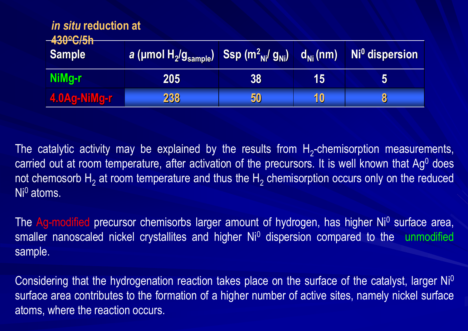| <i>in situ reduction at</i><br>$-430^{\circ}$ C/5h |     |                                                                                  |               |                            |
|----------------------------------------------------|-----|----------------------------------------------------------------------------------|---------------|----------------------------|
| <b>Sample</b>                                      |     | $ \mathsf{Ssp}\left(\mathsf{m}_{\mathsf{Ni}}^2/\mathsf{g}_{\mathsf{Ni}}\right) $ | $d_{Ni}$ (nm) | Ni <sup>0</sup> dispersion |
| NiMg-r                                             | 205 | <b>38</b>                                                                        | 15            | 5                          |
| <b>4.0Ag-NiMg-r</b>                                | 238 | 50                                                                               | 10            | 8                          |

The catalytic activity may be explained by the results from  $H_2$ -chemisorption measurements, carried out at room temperature, after activation of the precursors. It is well known that Ag<sup>0</sup> does not chemosorb  ${\sf H_2}$  at room temperature and thus the  ${\sf H_2}$  chemisorption occurs only on the reduced  $\overline{\phantom{a}}$ Ni<sup>0</sup> atoms.

The Ag-modified precursor chemisorbs larger amount of hydrogen, has higher Ni<sup>0</sup> surface area, smaller nanoscaled nickel crystallites and higher Ni<sup>0</sup> dispersion compared to the unmodified sample.

Considering that the hydrogenation reaction takes place on the surface of the catalyst, larger Ni<sup>0</sup> surface area contributes to the formation of a higher number of active sites, namely nickel surface atoms, where the reaction occurs.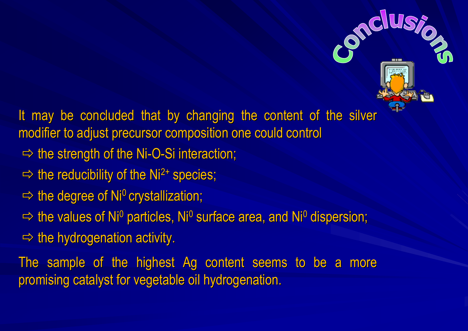

O

- $\Rightarrow$  the strength of the Ni -O-Si interaction;
- $\Rightarrow$  the reducibility of the Ni<sup>2+</sup> species;
- $\Rightarrow$  the degree of Ni<sup>0</sup> crystallization;
- $\Rightarrow$  the values of Ni<sup>0</sup> particles, Ni<sup>0</sup> surface area, and Ni<sup>0</sup> dispersion;
- $\Rightarrow$  the hydrogenation activity.

The sample of the highest Ag content seems to be a more promising catalyst for vegetable oil hydrogenation.